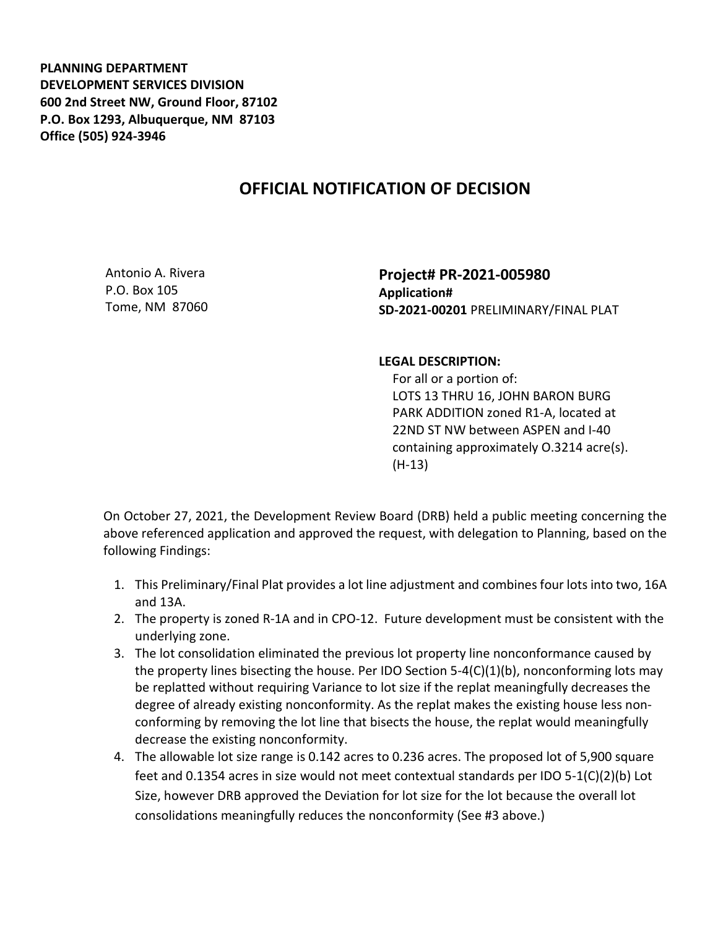**PLANNING DEPARTMENT DEVELOPMENT SERVICES DIVISION 600 2nd Street NW, Ground Floor, 87102 P.O. Box 1293, Albuquerque, NM 87103 Office (505) 924-3946** 

## **OFFICIAL NOTIFICATION OF DECISION**

Antonio A. Rivera P.O. Box 105 Tome, NM 87060 **Project# PR-2021-005980 Application# SD-2021-00201** PRELIMINARY/FINAL PLAT

## **LEGAL DESCRIPTION:**

 For all or a portion of: LOTS 13 THRU 16, JOHN BARON BURG PARK ADDITION zoned R1-A, located at 22ND ST NW between ASPEN and I-40 containing approximately O.3214 acre(s). (H-13)

On October 27, 2021, the Development Review Board (DRB) held a public meeting concerning the above referenced application and approved the request, with delegation to Planning, based on the following Findings:

- 1. This Preliminary/Final Plat provides a lot line adjustment and combines four lots into two, 16A and 13A.
- 2. The property is zoned R-1A and in CPO-12. Future development must be consistent with the underlying zone.
- 3. The lot consolidation eliminated the previous lot property line nonconformance caused by the property lines bisecting the house. Per IDO Section 5-4(C)(1)(b), nonconforming lots may be replatted without requiring Variance to lot size if the replat meaningfully decreases the degree of already existing nonconformity. As the replat makes the existing house less nonconforming by removing the lot line that bisects the house, the replat would meaningfully decrease the existing nonconformity.
- 4. The allowable lot size range is 0.142 acres to 0.236 acres. The proposed lot of 5,900 square feet and 0.1354 acres in size would not meet contextual standards per IDO 5-1(C)(2)(b) Lot Size, however DRB approved the Deviation for lot size for the lot because the overall lot consolidations meaningfully reduces the nonconformity (See #3 above.)